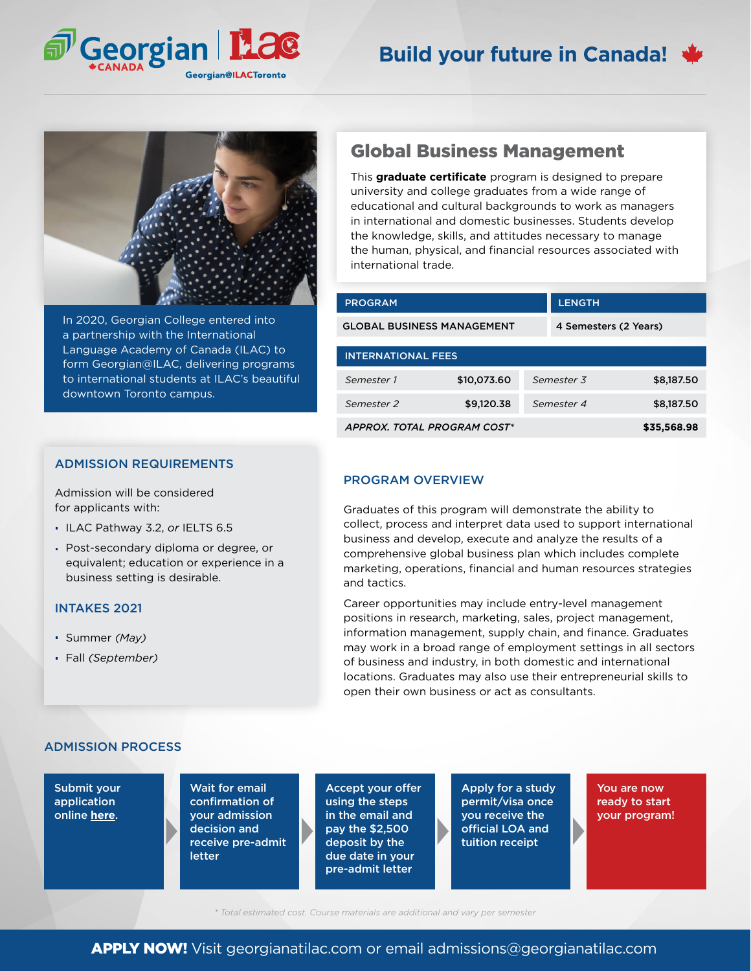

# **Build your future in Canada!**



In 2020, Georgian College entered into a partnership with the International Language Academy of Canada (ILAC) to form Georgian@ILAC, delivering programs to international students at ILAC's beautiful downtown Toronto campus.

### ADMISSION REQUIREMENTS

Admission will be considered for applicants with:

- ILAC Pathway 3.2, *or* IELTS 6.5
- Post-secondary diploma or degree, or equivalent; education or experience in a business setting is desirable.

## INTAKES 2021

- Summer *(May)*
- Fall *(September)*

# Global Business Management

This **graduate certificate** program is designed to prepare university and college graduates from a wide range of educational and cultural backgrounds to work as managers in international and domestic businesses. Students develop the knowledge, skills, and attitudes necessary to manage the human, physical, and financial resources associated with international trade.

| <b>PROGRAM</b>                    |             | <b>LENGTH</b> |                       |  |
|-----------------------------------|-------------|---------------|-----------------------|--|
| <b>GLOBAL BUSINESS MANAGEMENT</b> |             |               | 4 Semesters (2 Years) |  |
| <b>INTERNATIONAL FEES</b>         |             |               |                       |  |
| Semester 1                        | \$10,073.60 | Semester 3    | \$8,187.50            |  |
| Semester <sub>2</sub>             | \$9,120,38  | Semester 4    | \$8,187.50            |  |
| APPROX. TOTAL PROGRAM COST*       |             |               | \$35,568.98           |  |

### PROGRAM OVERVIEW

Graduates of this program will demonstrate the ability to collect, process and interpret data used to support international business and develop, execute and analyze the results of a comprehensive global business plan which includes complete marketing, operations, financial and human resources strategies and tactics.

Career opportunities may include entry-level management positions in research, marketing, sales, project management, information management, supply chain, and finance. Graduates may work in a broad range of employment settings in all sectors of business and industry, in both domestic and international locations. Graduates may also use their entrepreneurial skills to open their own business or act as consultants.

## ADMISSION PROCESS

Submit your application online **[here](georgianatilac.com/international-student-application/)**.

Wait for email confirmation of your admission decision and receive pre-admit letter

Accept your offer using the steps in the email and pay the \$2,500 deposit by the due date in your pre-admit letter

Apply for a study permit/visa once you receive the official LOA and tuition receipt

You are now ready to start your program!

*\* Total estimated cost. Course materials are additional and vary per semester*